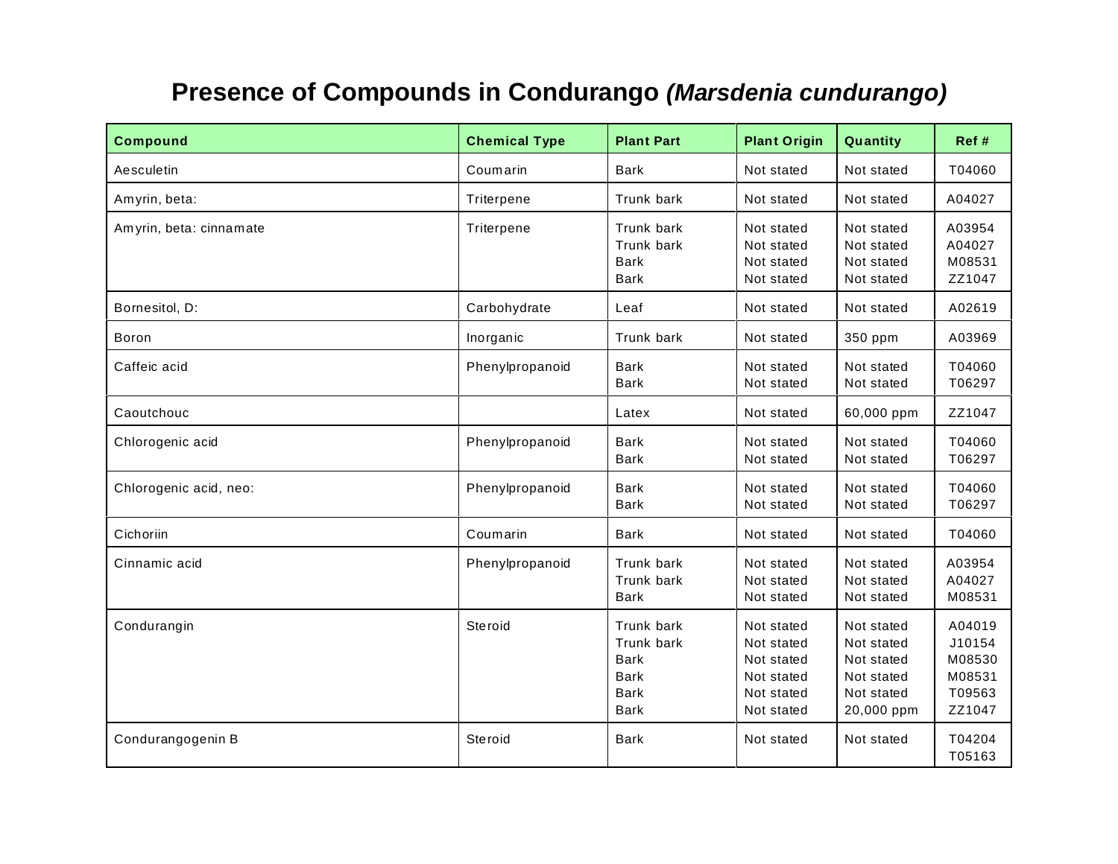## **Presence of Compounds in Condurango** *(Marsdenia cundurango)*

| <b>Compound</b>         | <b>Chemical Type</b> | <b>Plant Part</b>                                                             | <b>Plant Origin</b>                                                              | Quantity                                                                         | Ref #                                                    |
|-------------------------|----------------------|-------------------------------------------------------------------------------|----------------------------------------------------------------------------------|----------------------------------------------------------------------------------|----------------------------------------------------------|
| Aesculetin              | Coumarin             | <b>Bark</b>                                                                   | Not stated                                                                       | Not stated                                                                       | T04060                                                   |
| Amyrin, beta:           | Triterpene           | Trunk bark                                                                    | Not stated                                                                       | Not stated                                                                       | A04027                                                   |
| Amyrin, beta: cinnamate | Triterpene           | Trunk bark<br>Trunk bark<br><b>Bark</b><br><b>Bark</b>                        | Not stated<br>Not stated<br>Not stated<br>Not stated                             | Not stated<br>Not stated<br>Not stated<br>Not stated                             | A03954<br>A04027<br>M08531<br>ZZ1047                     |
| Bornesitol, D:          | Carbohydrate         | Leaf                                                                          | Not stated                                                                       | Not stated                                                                       | A02619                                                   |
| Boron                   | Inorganic            | Trunk bark                                                                    | Not stated                                                                       | 350 ppm                                                                          | A03969                                                   |
| Caffeic acid            | Phenylpropanoid      | <b>Bark</b><br><b>Bark</b>                                                    | Not stated<br>Not stated                                                         | Not stated<br>Not stated                                                         | T04060<br>T06297                                         |
| Caoutchouc              |                      | Latex                                                                         | Not stated                                                                       | 60,000 ppm                                                                       | ZZ1047                                                   |
| Chlorogenic acid        | Phenylpropanoid      | <b>Bark</b><br><b>Bark</b>                                                    | Not stated<br>Not stated                                                         | Not stated<br>Not stated                                                         | T04060<br>T06297                                         |
| Chlorogenic acid, neo:  | Phenylpropanoid      | <b>Bark</b><br><b>Bark</b>                                                    | Not stated<br>Not stated                                                         | Not stated<br>Not stated                                                         | T04060<br>T06297                                         |
| Cichoriin               | Coumarin             | <b>Bark</b>                                                                   | Not stated                                                                       | Not stated                                                                       | T04060                                                   |
| Cinnamic acid           | Phenylpropanoid      | Trunk bark<br>Trunk bark<br><b>Bark</b>                                       | Not stated<br>Not stated<br>Not stated                                           | Not stated<br>Not stated<br>Not stated                                           | A03954<br>A04027<br>M08531                               |
| Condurangin             | Steroid              | Trunk bark<br>Trunk bark<br><b>Bark</b><br><b>Bark</b><br><b>Bark</b><br>Bark | Not stated<br>Not stated<br>Not stated<br>Not stated<br>Not stated<br>Not stated | Not stated<br>Not stated<br>Not stated<br>Not stated<br>Not stated<br>20,000 ppm | A04019<br>J10154<br>M08530<br>M08531<br>T09563<br>ZZ1047 |
| Condurangogenin B       | Steroid              | <b>Bark</b>                                                                   | Not stated                                                                       | Not stated                                                                       | T04204<br>T05163                                         |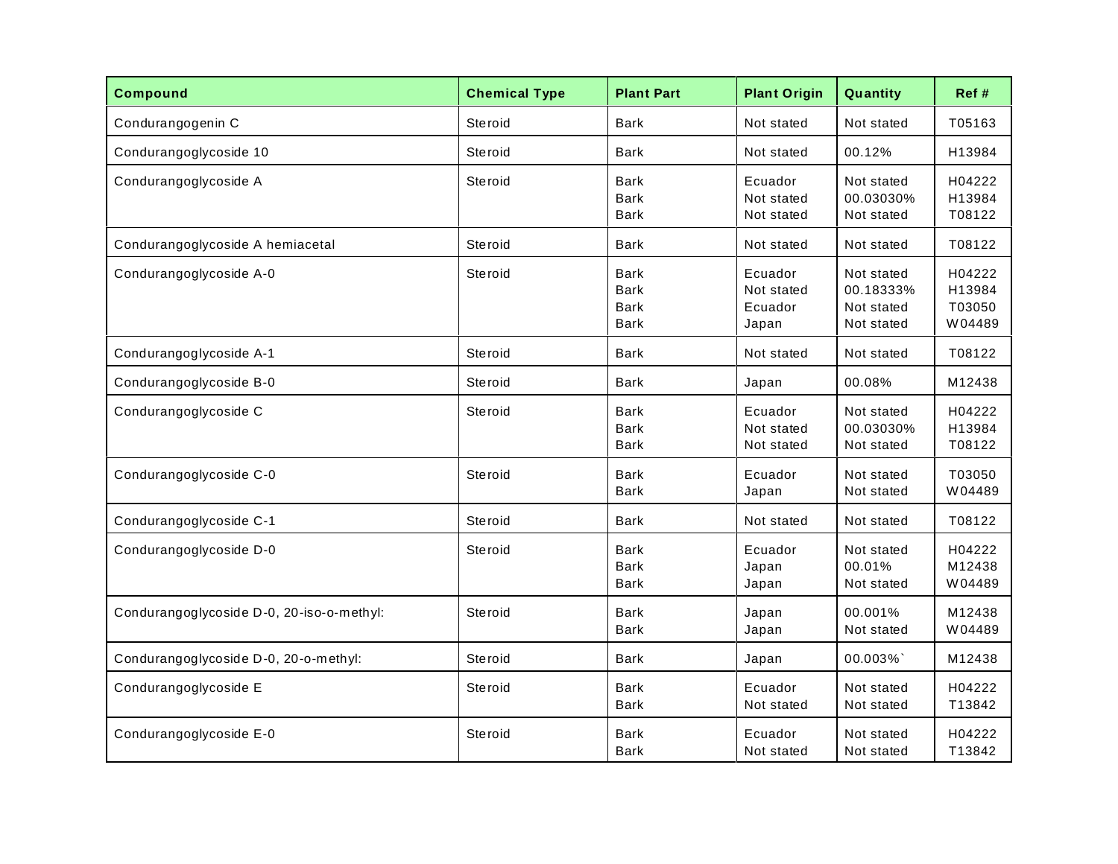| <b>Compound</b>                           | <b>Chemical Type</b> | <b>Plant Part</b>                                        | <b>Plant Origin</b>                       | Quantity                                            | Ref#                                 |
|-------------------------------------------|----------------------|----------------------------------------------------------|-------------------------------------------|-----------------------------------------------------|--------------------------------------|
| Condurangogenin C                         | Steroid              | <b>Bark</b>                                              | Not stated                                | Not stated                                          | T05163                               |
| Condurangoglycoside 10                    | Steroid              | <b>Bark</b>                                              | Not stated                                | 00.12%                                              | H13984                               |
| Condurangoglycoside A                     | Steroid              | <b>Bark</b><br><b>Bark</b><br>Bark                       | Ecuador<br>Not stated<br>Not stated       | Not stated<br>00.03030%<br>Not stated               | H04222<br>H13984<br>T08122           |
| Condurangoglycoside A hemiacetal          | Steroid              | <b>Bark</b>                                              | Not stated                                | Not stated                                          | T08122                               |
| Condurangoglycoside A-0                   | Steroid              | <b>Bark</b><br><b>Bark</b><br><b>Bark</b><br><b>Bark</b> | Ecuador<br>Not stated<br>Ecuador<br>Japan | Not stated<br>00.18333%<br>Not stated<br>Not stated | H04222<br>H13984<br>T03050<br>W04489 |
| Condurangoglycoside A-1                   | Steroid              | Bark                                                     | Not stated                                | Not stated                                          | T08122                               |
| Condurangoglycoside B-0                   | Steroid              | <b>Bark</b>                                              | Japan                                     | 00.08%                                              | M12438                               |
| Condurangoglycoside C                     | Steroid              | <b>Bark</b><br><b>Bark</b><br>Bark                       | Ecuador<br>Not stated<br>Not stated       | Not stated<br>00.03030%<br>Not stated               | H04222<br>H13984<br>T08122           |
| Condurangoglycoside C-0                   | Steroid              | <b>Bark</b><br>Bark                                      | Ecuador<br>Japan                          | Not stated<br>Not stated                            | T03050<br>W04489                     |
| Condurangoglycoside C-1                   | Steroid              | <b>Bark</b>                                              | Not stated                                | Not stated                                          | T08122                               |
| Condurangoglycoside D-0                   | Steroid              | <b>Bark</b><br><b>Bark</b><br>Bark                       | Ecuador<br>Japan<br>Japan                 | Not stated<br>00.01%<br>Not stated                  | H04222<br>M12438<br>W04489           |
| Condurangoglycoside D-0, 20-iso-o-methyl: | Steroid              | <b>Bark</b><br><b>Bark</b>                               | Japan<br>Japan                            | 00.001%<br>Not stated                               | M12438<br>W04489                     |
| Condurangoglycoside D-0, 20-o-methyl:     | Steroid              | <b>Bark</b>                                              | Japan                                     | 00.003%                                             | M12438                               |
| Condurangoglycoside E                     | Steroid              | <b>Bark</b><br>Bark                                      | Ecuador<br>Not stated                     | Not stated<br>Not stated                            | H04222<br>T13842                     |
| Condurangoglycoside E-0                   | Steroid              | <b>Bark</b><br>Bark                                      | Ecuador<br>Not stated                     | Not stated<br>Not stated                            | H04222<br>T13842                     |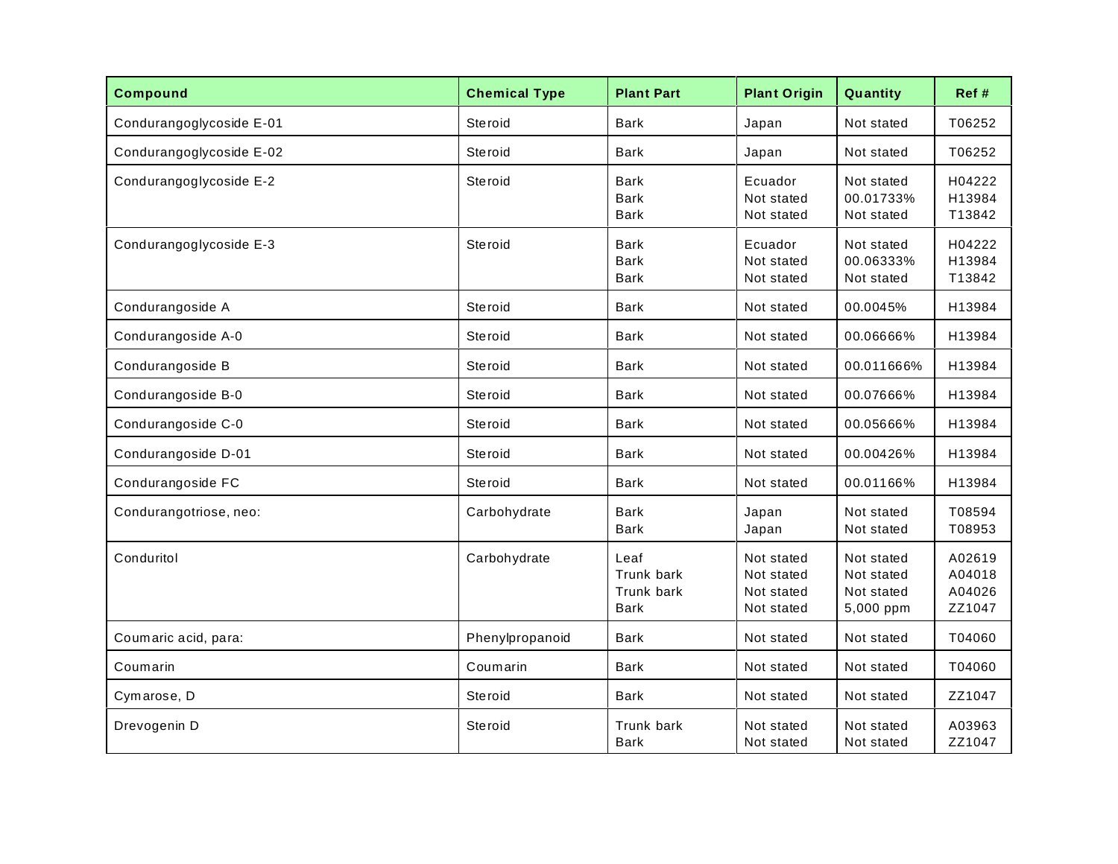| <b>Compound</b>          | <b>Chemical Type</b> | <b>Plant Part</b>                                      | <b>Plant Origin</b>                                  | Quantity                                            | Ref#                                 |
|--------------------------|----------------------|--------------------------------------------------------|------------------------------------------------------|-----------------------------------------------------|--------------------------------------|
| Condurangoglycoside E-01 | Steroid              | Bark                                                   | Japan                                                | Not stated                                          | T06252                               |
| Condurangoglycoside E-02 | Steroid              | <b>Bark</b>                                            | Japan                                                | Not stated                                          | T06252                               |
| Condurangoglycoside E-2  | Steroid              | <b>Bark</b><br>Bark<br>Bark                            | Ecuador<br>Not stated<br>Not stated                  | Not stated<br>00.01733%<br>Not stated               | H04222<br>H13984<br>T13842           |
| Condurangoglycoside E-3  | Steroid              | <b>Bark</b><br><b>Bark</b><br><b>Bark</b>              | Ecuador<br>Not stated<br>Not stated                  | Not stated<br>00.06333%<br>Not stated               | H04222<br>H13984<br>T13842           |
| Condurangoside A         | Steroid              | <b>Bark</b>                                            | Not stated                                           | 00.0045%                                            | H13984                               |
| Condurangoside A-0       | Steroid              | <b>Bark</b>                                            | Not stated                                           | 00.06666%                                           | H13984                               |
| Condurangoside B         | Steroid              | Bark                                                   | Not stated                                           | 00.011666%                                          | H13984                               |
| Condurangoside B-0       | Steroid              | <b>Bark</b>                                            | Not stated                                           | 00.07666%                                           | H13984                               |
| Condurangoside C-0       | Steroid              | <b>Bark</b>                                            | Not stated                                           | 00.05666%                                           | H13984                               |
| Condurangoside D-01      | Steroid              | <b>Bark</b>                                            | Not stated                                           | 00.00426%                                           | H13984                               |
| Condurangoside FC        | Steroid              | <b>Bark</b>                                            | Not stated                                           | 00.01166%                                           | H13984                               |
| Condurangotriose, neo:   | Carbohydrate         | <b>Bark</b><br><b>Bark</b>                             | Japan<br>Japan                                       | Not stated<br>Not stated                            | T08594<br>T08953                     |
| Conduritol               | Carbohydrate         | Leaf<br><b>Trunk bark</b><br>Trunk bark<br><b>Bark</b> | Not stated<br>Not stated<br>Not stated<br>Not stated | Not stated<br>Not stated<br>Not stated<br>5,000 ppm | A02619<br>A04018<br>A04026<br>ZZ1047 |
| Coumaric acid, para:     | Phenylpropanoid      | <b>Bark</b>                                            | Not stated                                           | Not stated                                          | T04060                               |
| Coumarin                 | Coumarin             | Bark                                                   | Not stated                                           | Not stated                                          | T04060                               |
| Cymarose, D              | Steroid              | <b>Bark</b>                                            | Not stated                                           | Not stated                                          | ZZ1047                               |
| Drevogenin D             | Steroid              | Trunk bark<br><b>Bark</b>                              | Not stated<br>Not stated                             | Not stated<br>Not stated                            | A03963<br>ZZ1047                     |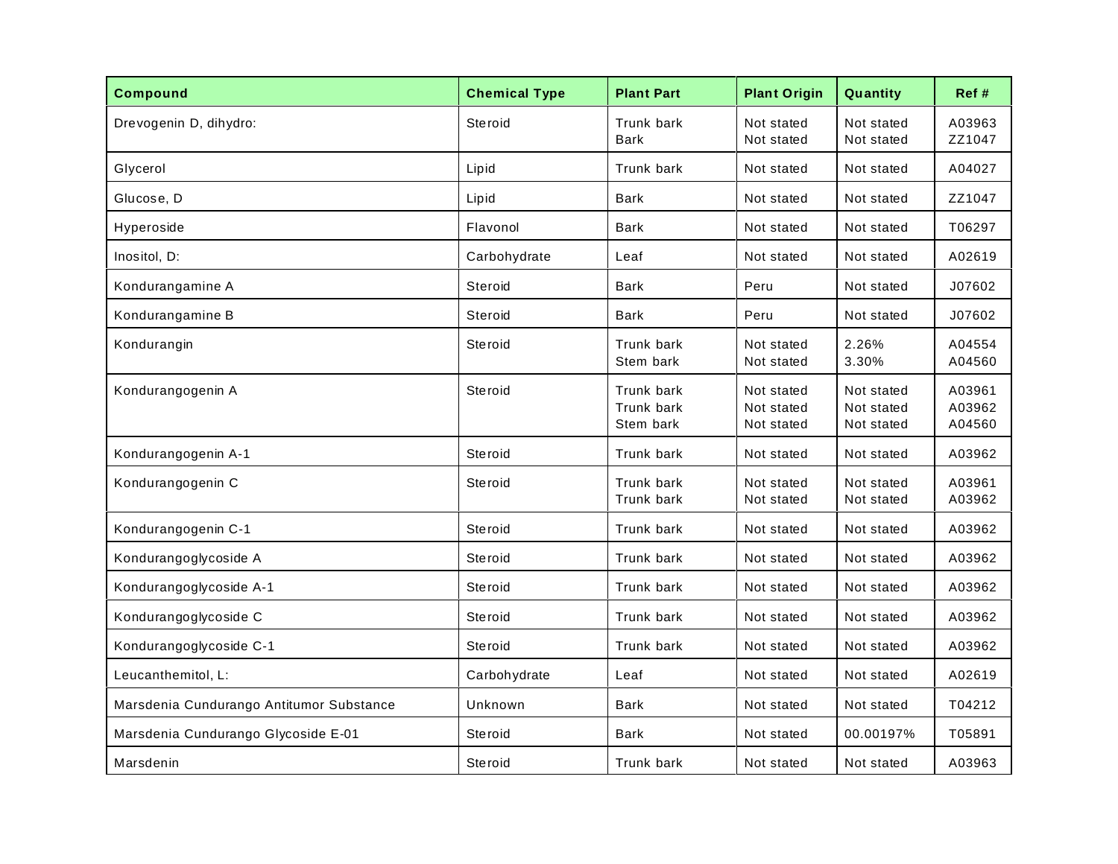| <b>Compound</b>                          | <b>Chemical Type</b> | <b>Plant Part</b>                     | <b>Plant Origin</b>                    | Quantity                               | Ref #                      |
|------------------------------------------|----------------------|---------------------------------------|----------------------------------------|----------------------------------------|----------------------------|
| Drevogenin D, dihydro:                   | Steroid              | Trunk bark<br><b>Bark</b>             | Not stated<br>Not stated               | Not stated<br>Not stated               | A03963<br>ZZ1047           |
| Glycerol                                 | Lipid                | Trunk bark                            | Not stated                             | Not stated                             | A04027                     |
| Glucose, D                               | Lipid                | <b>Bark</b>                           | Not stated                             | Not stated                             | ZZ1047                     |
| Hyperoside                               | Flavonol             | <b>Bark</b>                           | Not stated                             | Not stated                             | T06297                     |
| Inositol, D:                             | Carbohydrate         | Leaf                                  | Not stated                             | Not stated                             | A02619                     |
| Kondurangamine A                         | Steroid              | <b>Bark</b>                           | Peru                                   | Not stated                             | J07602                     |
| Kondurangamine B                         | Steroid              | <b>Bark</b>                           | Peru                                   | Not stated                             | J07602                     |
| Kondurangin                              | Steroid              | Trunk bark<br>Stem bark               | Not stated<br>Not stated               | 2.26%<br>3.30%                         | A04554<br>A04560           |
| Kondurangogenin A                        | Steroid              | Trunk bark<br>Trunk bark<br>Stem bark | Not stated<br>Not stated<br>Not stated | Not stated<br>Not stated<br>Not stated | A03961<br>A03962<br>A04560 |
| Kondurangogenin A-1                      | Steroid              | Trunk bark                            | Not stated                             | Not stated                             | A03962                     |
| Kondurangogenin C                        | <b>Steroid</b>       | Trunk bark<br>Trunk bark              | Not stated<br>Not stated               | Not stated<br>Not stated               | A03961<br>A03962           |
| Kondurangogenin C-1                      | Steroid              | Trunk bark                            | Not stated                             | Not stated                             | A03962                     |
| Kondurangoglycoside A                    | Steroid              | Trunk bark                            | Not stated                             | Not stated                             | A03962                     |
| Kondurangoglycoside A-1                  | Steroid              | Trunk bark                            | Not stated                             | Not stated                             | A03962                     |
| Kondurangoglycoside C                    | Steroid              | Trunk bark                            | Not stated                             | Not stated                             | A03962                     |
| Kondurangoglycoside C-1                  | Steroid              | Trunk bark                            | Not stated                             | Not stated                             | A03962                     |
| Leucanthemitol, L:                       | Carbohydrate         | Leaf                                  | Not stated                             | Not stated                             | A02619                     |
| Marsdenia Cundurango Antitumor Substance | Unknown              | <b>Bark</b>                           | Not stated                             | Not stated                             | T04212                     |
| Marsdenia Cundurango Glycoside E-01      | Steroid              | <b>Bark</b>                           | Not stated                             | 00.00197%                              | T05891                     |
| Marsdenin                                | Steroid              | Trunk bark                            | Not stated                             | Not stated                             | A03963                     |